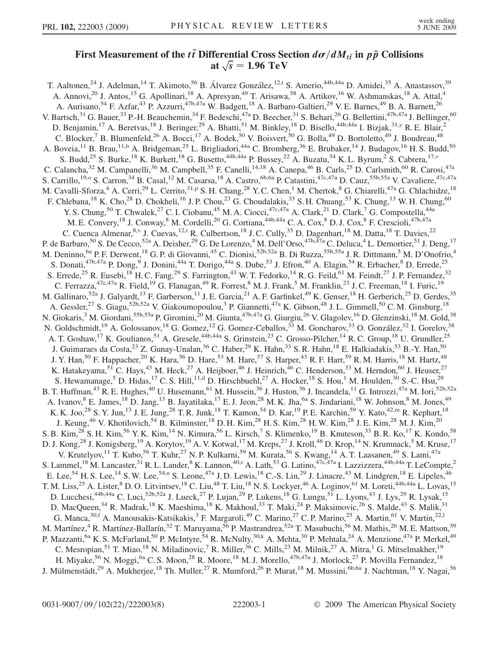## First Measurement of the  $t\bar{t}$  Differential Cross Section  $d\sigma/dM_{t\bar{t}}$  in  $p\bar{p}$  Collisions at  $\sqrt{s}$  = 1.96 TeV

<span id="page-0-10"></span><span id="page-0-9"></span><span id="page-0-8"></span><span id="page-0-7"></span><span id="page-0-6"></span><span id="page-0-5"></span><span id="page-0-4"></span><span id="page-0-3"></span><span id="page-0-2"></span><span id="page-0-1"></span><span id="page-0-0"></span>T. Aal[t](#page-6-0)onen,<sup>24</sup> J. Adelman,<sup>14</sup> T. Akimoto,<sup>56</sup> B. Álvarez González,<sup>12,t</sup> S. Amerio,<sup>44b,44a</sup> D. Amidei,<sup>35</sup> A. Anastassov,<sup>39</sup> A. Annovi,<sup>20</sup> J. Antos,<sup>15</sup> G. Apollinari,<sup>18</sup> A. Apresyan,<sup>49</sup> T. Arisawa,<sup>58</sup> A. Artikov,<sup>16</sup> W. Ashmanskas,<sup>18</sup> A. Attal,<sup>4</sup> A. Aurisano,<sup>54</sup> F. Azfar,<sup>43</sup> P. Azzurri,<sup>47b,47a</sup> W. Badgett,<sup>18</sup> A. Barbaro-Galtieri,<sup>29</sup> V. E. Barnes,<sup>49</sup> B. A. Barnett,<sup>26</sup> V. Bartsch,<sup>31</sup> G. Bauer,<sup>33</sup> P.-H. Beauchemin,<sup>34</sup> F. Bedeschi,<sup>47a</sup> D. Beecher,<sup>31</sup> S. Behari,<sup>26</sup> G. Bellettini,<sup>47b,47a</sup> J. Bellinger,<sup>60</sup> D. Benjamin,<sup>17</sup> A. Beretvas,<sup>18</sup> J. Beringer,<sup>29</sup> A. Bhatti,<sup>51</sup> M. Binkley,<sup>18</sup> D. Bisello,<sup>44b,44a</sup> I. Bizjak,<sup>31[,y](#page-6-1)</sup> R. E. Blair,<sup>2</sup> C. Blocker,<sup>7</sup> B. Blumenfeld,<sup>26</sup> A. Bocci,<sup>17</sup> A. Bodek,<sup>50</sup> V. Boisvert,<sup>50</sup> G. Bolla,<sup>49</sup> D. Bortoletto,<sup>49</sup> J. Boudreau,<sup>48</sup> A. Boveia,<sup>11</sup> B. Brau,<sup>11[,b](#page-6-2)</sup> A. Bridgeman,<sup>25</sup> L. Brigliadori,<sup>44a</sup> C. Bromberg,<sup>36</sup> E. Brubaker,<sup>14</sup> J. Budagov,<sup>16</sup> H. S. Budd,<sup>50</sup> S. Budd,<sup>25</sup> S. Burke,<sup>18</sup> K. Burkett,<sup>18</sup> G. Busetto,<sup>44b,44a</sup> P. Bussey,<sup>22</sup> A. Buzatu,<sup>34</sup> K. L. Byrum,<sup>2</sup> S. Cabrera,<sup>17,[v](#page-6-3)</sup> C. Calancha,<sup>32</sup> M. Campanelli,<sup>36</sup> M. Campbell,<sup>35</sup> F. Canelli,<sup>14,18</sup> A. Canepa,<sup>46</sup> B. Carls,<sup>25</sup> D. Carlsmith,<sup>60</sup> R. Carosi,<sup>47a</sup> S. Carrillo,<sup>19[,o](#page-6-4)</sup> S. Carron,<sup>34</sup> B. Casal,<sup>12</sup> M. Casarsa,<sup>18</sup> A. Castro,<sup>6b,6a</sup> P. Catastini,<sup>47c,47a</sup> D. Cauz,<sup>55b,55a</sup> V. Cavaliere,<sup>47c,47a</sup> M. Cavalli-Sforza,<sup>4</sup> A. Cerri,<sup>29</sup> L. Cerrito,<sup>31[,p](#page-6-5)</sup> S. H. Chang,<sup>28</sup> Y. C. Chen,<sup>1</sup> M. Chertok,<sup>8</sup> G. Chiarelli,<sup>47a</sup> G. Chlachidze,<sup>18</sup> F. Chlebana,<sup>18</sup> K. Cho,<sup>28</sup> D. Chokheli,<sup>16</sup> J. P. Chou,<sup>23</sup> G. Choudalakis,<sup>33</sup> S. H. Chuang,<sup>53</sup> K. Chung,<sup>13</sup> W. H. Chung,<sup>60</sup> Y. S. Chung,<sup>50</sup> T. Chwalek,<sup>27</sup> C. I. Ciobanu,<sup>45</sup> M. A. Ciocci,<sup>47c,47a</sup> A. Clark,<sup>21</sup> D. Clark,<sup>7</sup> G. Compostella,<sup>44a</sup> M. E. Convery, <sup>18</sup> J. Conway, <sup>8</sup> M. Cordelli, <sup>20</sup> G. Cortiana, <sup>44b, 44a</sup> C. A. Cox, <sup>8</sup> D. J. Cox, <sup>8</sup> F. Crescioli, <sup>47b, 47a</sup> C. Cuenca Almenar, <sup>8, [v](#page-6-3)</sup> J. Cuevas, <sup>12[,t](#page-6-0)</sup> R. Culbertson, <sup>18</sup> J. C. Cully, <sup>35</sup> D. Dagenhart, <sup>18</sup> M. Datta, <sup>18</sup> T. Davies, <sup>22</sup> P. de Barbaro,<sup>50</sup> S. De Cecco,<sup>52a</sup> A. Deisher,<sup>29</sup> G. De Lorenzo,<sup>4</sup> M. Dell'Orso,<sup>47b,47a</sup> C. Deluca,<sup>4</sup> L. Demortier,<sup>51</sup> J. Deng,<sup>17</sup> M. Deninno, <sup>6a</sup> P. F. Derwent, <sup>18</sup> G. P. di Giovanni, <sup>45</sup> C. Dionisi, <sup>52b, 52a</sup> B. Di Ruzza, <sup>55b, 55a</sup> J. R. Dittmann, <sup>5</sup> M. D'Onofrio, <sup>4</sup> S. Donati, <sup>47b, 47a</sup> P. Dong, <sup>9</sup> J. Donini, <sup>44a</sup> T. Dorigo, <sup>44a</sup> S. Dube, <sup>53</sup> J. Efron, <sup>40</sup> A. Elagin, <sup>54</sup> R. Erbacher, <sup>8</sup> D. Errede, <sup>25</sup> S. Errede,<sup>25</sup> R. Eusebi,<sup>18</sup> H. C. Fang,<sup>29</sup> S. Farrington,<sup>43</sup> W. T. Fedorko,<sup>14</sup> R. G. Feild,<sup>61</sup> M. Feindt,<sup>27</sup> J. P. Fernandez,<sup>32</sup> C. Ferrazza,  $47c,47a$  R. Field,  $19$  G. Flanagan,  $49$  R. Forrest,  $8$  M. J. Frank,  $5$  M. Franklin,  $23$  J. C. Freeman,  $18$  I. Furic,  $19$ M. Gallinaro,<sup>52a</sup> J. Galyardt,<sup>13</sup> F. Garberson,<sup>11</sup> J. E. Garcia,<sup>21</sup> A. F. Garfinkel,<sup>49</sup> K. Genser,<sup>18</sup> H. Gerberich,<sup>25</sup> D. Gerdes,<sup>35</sup> A. Gessler,<sup>27</sup> S. Giagu,<sup>52b,52a</sup> V. Giakoumopoulou,<sup>3</sup> P. Giannetti,<sup>47a</sup> K. Gibson,<sup>48</sup> J. L. Gimmell,<sup>50</sup> C. M. Ginsburg,<sup>18</sup> N. Giokaris,<sup>3</sup> M. Giordani,<sup>55b,55a</sup> P. Giromini,<sup>20</sup> M. Giunta,<sup>47b,47a</sup> G. Giurgiu,<sup>26</sup> V. Glagolev,<sup>16</sup> D. Glenzinski,<sup>18</sup> M. Gold,<sup>38</sup> N. Goldschmidt,<sup>19</sup> A. Golossanov,<sup>18</sup> G. Gomez,<sup>12</sup> G. Gomez-Ceballos,<sup>33</sup> M. Goncharov,<sup>33</sup> O. González,<sup>32</sup> I. Gorelov,<sup>38</sup> A. T. Goshaw,<sup>17</sup> K. Goulianos,<sup>51</sup> A. Gresele,<sup>44b,44a</sup> S. Grinstein,<sup>23</sup> C. Grosso-Pilcher,<sup>14</sup> R. C. Group,<sup>18</sup> U. Grundler,<sup>25</sup> J. Guimaraes da Costa, $^{23}$  Z. Gunay-Unalan,  $^{36}$  C. Haber,  $^{29}$  K. Hahn,  $^{33}$  S. R. Hahn,  $^{18}$  E. Halkiadakis,  $^{53}$  B.-Y. Han,  $^{50}$ J. Y. Han,<sup>50</sup> F. Happacher,<sup>20</sup> K. Hara,<sup>56</sup> D. Hare,<sup>53</sup> M. Hare,<sup>57</sup> S. Harper,<sup>43</sup> R. F. Harr,<sup>59</sup> R. M. Harris,<sup>18</sup> M. Hartz,<sup>48</sup> K. Hatakeyama,<sup>51</sup> C. Hays,<sup>43</sup> M. Heck,<sup>27</sup> A. Heijboer,<sup>46</sup> J. Heinrich,<sup>46</sup> C. Henderson,<sup>33</sup> M. Herndon,<sup>60</sup> J. Heuser,<sup>27</sup> S. Hewamanage,<sup>5</sup> D. Hi[d](#page-6-6)as,<sup>17</sup> C. S. Hill,<sup>11,d</sup> D. Hirschbuehl,<sup>27</sup> A. Hocker,<sup>18</sup> S. Hou,<sup>1</sup> M. Houlden,<sup>30</sup> S.-C. Hsu,<sup>29</sup> B. T. Huffman,<sup>43</sup> R. E. Hughes,<sup>40</sup> U. Husemann,<sup>61</sup> M. Hussein,<sup>36</sup> J. Huston,<sup>36</sup> J. Incandela,<sup>11</sup> G. Introzzi,<sup>47a</sup> M. Iori,<sup>52b,52a</sup> A. Ivanov, <sup>8</sup> E. James, <sup>18</sup> D. Jang, <sup>13</sup> B. Jayatilaka, <sup>17</sup> E. J. Jeon, <sup>28</sup> M. K. Jha, <sup>6a</sup> S. Jindariani, <sup>18</sup> W. Johnson, <sup>8</sup> M. Jones, <sup>49</sup> K. K. Joo,<sup>28</sup> S. Y. Jun,<sup>13</sup> J. E. Jung,<sup>28</sup> T. R. Junk,<sup>18</sup> T. Ka[m](#page-6-7)on,<sup>54</sup> D. Kar,<sup>19</sup> P. E. Karchin,<sup>59</sup> Y. Kato,<sup>42,m</sup> R. Kephart,<sup>18</sup> J. Keung,<sup>46</sup> V. Khotilovich,<sup>54</sup> B. Kilminster,<sup>18</sup> D. H. Kim,<sup>28</sup> H. S. Kim,<sup>28</sup> H. W. Kim,<sup>28</sup> J. E. Kim,<sup>28</sup> M. J. Kim,<sup>20</sup> S. B. Kim,<sup>28</sup> S. H. Kim,<sup>56</sup> Y. K. Kim,<sup>14</sup> N. Kimura,<sup>56</sup> L. Kirsch,<sup>7</sup> S. Klimenko,<sup>19</sup> B. Knuteson,<sup>33</sup> B. R. Ko,<sup>17</sup> K. Kondo,<sup>58</sup> D. J. Kong,<sup>28</sup> J. Konigsberg,<sup>19</sup> A. Korytov,<sup>19</sup> A. V. Kotwal,<sup>17</sup> M. Kreps,<sup>27</sup> J. Kroll,<sup>46</sup> D. Krop,<sup>14</sup> N. Krumnack,<sup>5</sup> M. Kruse,<sup>17</sup> V. Krutelyov,<sup>11</sup> T. Kubo,<sup>56</sup> T. Kuhr,<sup>27</sup> N. P. Kulkarni,<sup>59</sup> M. Kurata,<sup>56</sup> S. Kwang,<sup>14</sup> A. T. Laasanen,<sup>49</sup> S. Lami,<sup>47a</sup> S. Lammel,<[s](#page-6-8)up>18</sup> M. Lancaster,<sup>31</sup> R. L. Lander,<sup>8</sup> K. Lannon,<sup>40,s</sup> A. Lath,<sup>53</sup> G. Latino,<sup>47c,47a</sup> I. Lazzizzera,<sup>44b,44a</sup> T. LeCompte,<sup>2</sup> E. Lee,<sup>54</sup> H. S. Lee,<sup>14</sup> S. W. Lee,<sup>54[,u](#page-6-9)</sup> S. Leone,<sup>47a</sup> J. D. Lewis,<sup>18</sup> C.-S. Lin,<sup>29</sup> J. Linacre,<sup>43</sup> M. Lindgren,<sup>18</sup> E. Lipeles,<sup>46</sup> T. M. Liss,<sup>25</sup> A. Lister,<sup>8</sup> D. O. Litvintsev,<sup>18</sup> C. Liu,<sup>48</sup> T. Liu,<sup>18</sup> N. S. Lockyer,<sup>46</sup> A. Loginov,<sup>61</sup> M. Loreti,<sup>44b,44a</sup> L. Lovas,<sup>15</sup> D. Lucchesi,<sup>44b,44a</sup> C. Luci,<sup>52b,52a</sup> J. Lueck,<sup>27</sup> P. Lujan,<sup>29</sup> P. Lukens,<sup>18</sup> G. Lungu,<sup>51</sup> L. Lyons,<sup>43</sup> J. Lys,<sup>29</sup> R. Lysak,<sup>15</sup> D. MacQueen,<sup>34</sup> R. Madrak,<sup>18</sup> K. Maeshima,<sup>18</sup> K. Makhoul,<sup>33</sup> T. Maki,<sup>24</sup> P. Maksimovic,<sup>26</sup> S. Malde,<sup>43</sup> S. Malik,<sup>31</sup> G. Manca,<sup>30[,f](#page-6-10)</sup> A. Manousakis-Katsikakis,<sup>3</sup> F. Margaro[l](#page-6-11)i,<sup>49</sup> C. Marino,<sup>27</sup> C. P. Marino,<sup>25</sup> A. Martin,<sup>61</sup> V. Martin,<sup>22,1</sup> M. Martínez,<sup>4</sup> R. Martínez-Ballarín,<sup>32</sup> T. Maruyama,<sup>56</sup> P. Mastrandrea,<sup>52a</sup> T. Masubuchi,<sup>56</sup> M. Mathis,<sup>26</sup> M. E. Mattson,<sup>59</sup> P. Mazzanti,<sup>6a</sup> K. S. McFarland,<sup>50</sup> P. McIntyre,<sup>54</sup> R. McNulty,<sup>30[,k](#page-6-12)</sup> A. Mehta,<sup>30</sup> P. Mehtala,<sup>24</sup> A. Menzione,<sup>47a</sup> P. Merkel,<sup>49</sup> C. Mesropian,<sup>51</sup> T. Miao,<sup>18</sup> N. Miladinovic,<sup>7</sup> R. Miller,<sup>36</sup> C. Mills,<sup>23</sup> M. Milnik,<sup>27</sup> A. Mitra,<sup>1</sup> G. Mitselmakher,<sup>19</sup> H. Miyake,<sup>56</sup> N. Moggi,<sup>6a</sup> C. S. Moon,<sup>28</sup> R. Moore,<sup>18</sup> M. J. Morello,<sup>47b,47a</sup> J. Morlock,<sup>27</sup> P. Movilla Fernandez,<sup>18</sup> J. Mülmenstädt,<sup>29</sup> A. Mukherjee,<sup>18</sup> Th. Muller,<sup>27</sup> R. Mumford,<sup>26</sup> P. Murat,<sup>18</sup> M. Mussini,<sup>6b,6a</sup> J. Nachtman,<sup>18</sup> Y. Nagai,<sup>56</sup>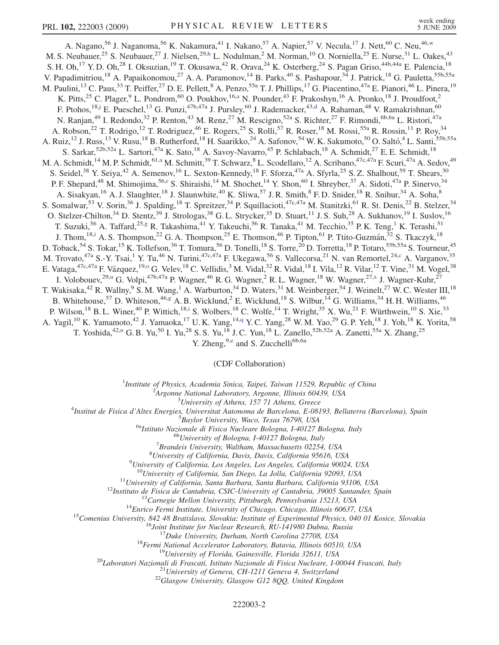<span id="page-1-9"></span><span id="page-1-8"></span><span id="page-1-5"></span><span id="page-1-3"></span><span id="page-1-0"></span>A. Nagano,<sup>56</sup> J. Naganoma,<sup>56</sup> K. Nakamura,<sup>41</sup> I. Nakano,<sup>57</sup> A. Napier,<sup>57</sup> V. Necula,<sup>17</sup> J. Nett,<sup>60</sup> C. Neu,<sup>46,[w](#page-6-13)</sup> M. S. Neubauer,<sup>25</sup> S. Neubauer,<sup>27</sup> J. Nielsen,<sup>29,[h](#page-6-14)</sup> L. Nodulman,<sup>2</sup> M. Norman,<sup>10</sup> O. Norniella,<sup>25</sup> E. Nurse,<sup>31</sup> L. Oakes,<sup>43</sup> S. H. Oh,<sup>17</sup> Y. D. Oh,<sup>28</sup> I. Oksuzian,<sup>19</sup> T. Okusawa,<sup>42</sup> R. Orava,<sup>24</sup> K. Osterberg,<sup>24</sup> S. Pagan Griso,<sup>44b,44a</sup> E. Palencia,<sup>18</sup> V. Papadimitriou,<sup>18</sup> A. Papaikonomou,<sup>27</sup> A. A. Paramonov,<sup>14</sup> B. Parks,<sup>40</sup> S. Pashapour,<sup>34</sup> J. Patrick,<sup>18</sup> G. Pauletta,<sup>55b,55a</sup> M. Paulini,<sup>13</sup> C. Paus,<sup>33</sup> T. Peiffer,<sup>27</sup> D. E. Pellett,<sup>8</sup> A. Penzo,<sup>55a</sup> T. J. Phillips,<sup>17</sup> G. Piacentino,<sup>47a</sup> E. Pianori,<sup>46</sup> L. Pinera,<sup>19</sup> K. Pitts,<sup>25</sup> C. Plager,<sup>9</sup> L. Pondrom,<sup>60</sup> O. Poukhov,<sup>16[,a](#page-6-15)</sup> N. Pounder,<sup>43</sup> F. Prakoshyn,<sup>16</sup> A. Pronko,<sup>18</sup> J. Proudfoot,<sup>2</sup> F. Ptohos,<sup>18,[j](#page-6-16)</sup> E. Pueschel,<sup>13</sup> G. Punzi,<sup>47b,47a</sup> J. Pursley,<sup>60</sup> J. Ra[d](#page-6-17)emacker,<sup>43,d</sup> A. Rahaman,<sup>48</sup> V. Ramakrishnan,<sup>60</sup> N. Ranjan,<sup>49</sup> I. Redondo,<sup>32</sup> P. Renton,<sup>43</sup> M. Renz,<sup>27</sup> M. Rescigno,<sup>52a</sup> S. Richter,<sup>27</sup> F. Rimondi,<sup>6b,6a</sup> L. Ristori,<sup>47a</sup> A. Robson,<sup>22</sup> T. Rodrigo,<sup>12</sup> T. Rodriguez,<sup>46</sup> E. Rogers,<sup>25</sup> S. Rolli,<sup>57</sup> R. Roser,<sup>18</sup> M. Rossi,<sup>55a</sup> R. Rossin,<sup>11</sup> P. Roy,<sup>34</sup> A. Ruiz,<sup>12</sup> J. Russ,<sup>13</sup> V. Rusu,<sup>18</sup> B. Rutherford,<sup>18</sup> H. Saarikko,<sup>24</sup> A. Safonov,<sup>54</sup> W. K. Sakumoto,<sup>50</sup> O. Saltó,<sup>4</sup> L. Santi,<sup>55b,55a</sup> S. Sarkar,<sup>52b,52a</sup> L. Sartori,<sup>47a</sup> K. Sato,<sup>18</sup> A. Savoy-Navarro,<sup>45</sup> P. Schlabach,<sup>18</sup> A. Schmidt,<sup>27</sup> E. E. Schmidt,<sup>18</sup> M. A. Schmidt,<sup>14</sup> M. P. Schmidt,<sup>61,[a](#page-6-15)</sup> M. Schmitt,<sup>39</sup> T. Schwarz,<sup>8</sup> L. Scodellaro,<sup>12</sup> A. Scribano,<sup>47c,47a</sup> F. Scuri,<sup>47a</sup> A. Sedov,<sup>49</sup> S. Seidel,<sup>38</sup> Y. Seiya,<sup>42</sup> A. Semenov,<sup>16</sup> L. Sexton-Kennedy,<sup>18</sup> F. Sforza,<sup>47a</sup> A. Sfyrla,<sup>25</sup> S. Z. Shalhout,<sup>59</sup> T. Shears,<sup>30</sup> P. F. Shepa[r](#page-6-18)d,<sup>48</sup> M. Shimojima,<sup>56,r</sup> S. Shiraishi,<sup>14</sup> M. Shochet,<sup>14</sup> Y. Shon,<sup>60</sup> I. Shreyber,<sup>37</sup> A. Sidoti,<sup>47a</sup> P. Sinervo,<sup>34</sup> A. Sisakyan,<sup>16</sup> A. J. Slaughter,<sup>18</sup> J. Slaunwhite,<sup>40</sup> K. Sliwa,<sup>57</sup> J. R. Smith,<sup>8</sup> F. D. Snider,<sup>18</sup> R. Snihur,<sup>34</sup> A. Soha,<sup>8</sup> S. Somalwar,<sup>53</sup> V. Sorin,<sup>36</sup> J. Spalding,<sup>18</sup> T. Spreitzer,<sup>34</sup> P. Squillacioti,<sup>47c,47a</sup> M. Stanitzki,<sup>61</sup> R. St. Denis,<sup>22</sup> B. Stelzer,<sup>34</sup> O. Stelzer-Chilton,<sup>34</sup> D. Stentz,<sup>39</sup> J. Strologas,<sup>38</sup> G. L. Strycker,<sup>35</sup> D. Stuart,<sup>11</sup> J. S. Suh,<sup>28</sup> A. Sukhanov,<sup>19</sup> I. Suslov,<sup>16</sup> T. Suzuki,<sup>56</sup> A. Taffard,<sup>25,[g](#page-6-19)</sup> R. Takashima,<sup>41</sup> Y. Takeuchi,<sup>56</sup> R. Tanaka,<sup>41</sup> M. Tecchio,<sup>35</sup> P. K. Teng,<sup>1</sup> K. Terashi,<sup>51</sup> J. Thom,<sup>18,[i](#page-6-20)</sup> A. S. Thompson,<sup>22</sup> G. A. Thompson,<sup>25</sup> E. Thomson,<sup>46</sup> P. Tipton,<sup>61</sup> P. Ttito-Guzmán,<sup>32</sup> S. Tkaczyk,<sup>18</sup> D. Toback,<sup>54</sup> S. Tokar,<sup>15</sup> K. Tollefson,<sup>36</sup> T. Tomura,<sup>56</sup> D. Tonelli,<sup>18</sup> S. Torre,<sup>20</sup> D. Torretta,<sup>18</sup> P. Totaro,<sup>55b,55a</sup> S. Tourneur,<sup>45</sup> M. Trovato,<sup>47a</sup> S.-Y. Tsai,<sup>1</sup> Y. Tu,<sup>46</sup> N. Turini,<sup>47c,47a</sup> F. Ukegawa,<sup>56</sup> S. Vallecorsa,<sup>21</sup> N. van Remortel,<sup>24[,c](#page-6-21)</sup> A. Varganov,<sup>35</sup> E. Vataga, <sup>47c, 47a</sup> F. Vázquez, <sup>19,0</sup> G. Velev, <sup>18</sup> C. Vellidis, <sup>3</sup> M. Vidal, <sup>32</sup> R. Vidal, <sup>18</sup> I. Vila, <sup>12</sup> R. Vilar, <sup>12</sup> T. Vine, <sup>31</sup> M. Vogel, <sup>38</sup> I. Volobouev,<sup>29[,u](#page-6-9)</sup> G. Volpi,<sup>47b,47a</sup> P. Wagner,<sup>46</sup> R. G. Wagner,<sup>2</sup> R. L. Wagner,<sup>18</sup> W. Wagner,<sup>27,[x](#page-6-22)</sup> J. Wagner-Kuhr,<sup>27</sup> T. Wakisaka,<sup>42</sup> R. Wallny,<sup>9</sup> S. M. Wang,<sup>1</sup> A. Warburton,<sup>34</sup> D. Waters,<sup>31</sup> M. Weinberger,<sup>54</sup> J. Weinelt,<sup>27</sup> W. C. Wester III,<sup>18</sup> B. Whitehouse,<sup>57</sup> D. Whiteson,<sup>46[,g](#page-6-19)</sup> A. B. Wicklund,<sup>2</sup> E. Wicklund,<sup>18</sup> S. Wilbur,<sup>14</sup> G. Williams,<sup>34</sup> H. H. Williams,<sup>46</sup> P. Wilson,<sup>18</sup> B. L. Winer,<sup>40</sup> P. Wittich,<sup>18[,i](#page-6-20)</sup> S. Wolbers,<sup>18</sup> C. Wolfe,<sup>14</sup> T. Wright,<sup>35</sup> X. Wu,<sup>21</sup> F. Würthwein,<sup>10</sup> S. Xie,<sup>33</sup> A. Yagil,<sup>10</sup> K. Yamamoto,<sup>42</sup> J. Yamaoka,<sup>17</sup> U.K. Yang,<sup>14,[q](#page-6-23)</sup> Y.C. Yang,<sup>28</sup> W.M. Yao,<sup>29</sup> G.P. Yeh,<sup>18</sup> J. Yoh,<sup>18</sup> K. Yorita,<sup>58</sup> T. Yoshida,<sup>42,[n](#page-6-24)</sup> G. B. Yu,<sup>50</sup> I. Yu,<sup>28</sup> S. S. Yu,<sup>18</sup> J. C. Yun,<sup>18</sup> L. Zanello,<sup>52b,52a</sup> A. Zanetti,<sup>55a</sup> X. Zhang,<sup>25</sup>

Y. Zheng,<sup>9,e</sup> and S. Zucchelli<sup>6b,6a</sup>

(CDF Collaboration)

<span id="page-1-1"></span><sup>1</sup>Institute of Physics, Academia Sinica, Taipei, Taiwan 11529, Republic of China<br><sup>2</sup>Argonna National Laboratory, Argonna Illinois 60430, USA

 $A$ rgonne National Laboratory, Argonne, Illinois 60439, USA<br> $3$ University of Athens, 157 71 Athens, Greece

<span id="page-1-10"></span><span id="page-1-7"></span><span id="page-1-6"></span><span id="page-1-4"></span><span id="page-1-2"></span><sup>5</sup> University of Athens, 157 71 Athens, Greece  $\frac{3}{4}$  University of Athens, 157 71 Athens, Greece

Institut de Fisica d'Altes Energies, Universitat Autonoma de Barcelona, E-08193, Bellaterra (Barcelona), Spain <sup>5</sup>

<sup>5</sup>Baylor University, Waco, Texas 76798, USA<br><sup>6a</sup>Istituto Nazionale di Fisica Nucleare Bologna, I-40127 Bologna, Italy<br><sup>6b</sup>University of Bologna, I-40127 Bologna, Italy

 ${}^{7}$ Brandeis University, Waltham, Massachusetts 02254, USA

<sup>8</sup>University of California, Davis, Davis, California 95616, USA

 $^{9}$ University of California, Los Angeles, Los Angeles, California 90024, USA

<sup>10</sup>University of California, San Diego, La Jolla, California 92093, USA<br>
<sup>11</sup>University of California, Santa Barbara, Santa Barbara, California 93106, USA<br>
<sup>12</sup>Instituto de Fisica de Cantabria, CSIC-University of Cantabr

222003-2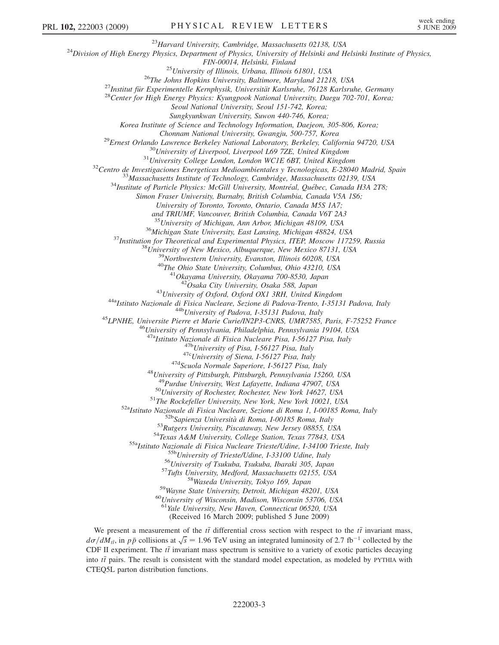<sup>23</sup>Harvard University, Cambridge, Massachusetts 02138, USA<br><sup>24</sup>Division of High Energy Physics, Department of Physics, University of Helsinki and Helsinki Institute of Physics,

FIN-00014, Helsinki, Finland<br><sup>25</sup>University of Illinois, Urbana, Illinois 61801, USA<br><sup>26</sup>The Johns Hopkins University, Baltimore, Maryland 21218, USA<br><sup>27</sup>Institut für Experimentelle Kernphysik, Universität Karlsruhe, 76128

Seoul National University, Seoul 151-742, Korea;

Sungkyunkwan University, Suwon 440-746, Korea;

Korea Institute of Science and Technology Information, Daejeon, 305-806, Korea;

<sup>29</sup>Ernest Orlando Lawrence Berkeley National Laboratory, Berkeley, California 94720, USA<br><sup>30</sup>University of Liverpool, Liverpool L69 7ZE, United Kingdom<br><sup>31</sup>University College London, London WCIE 6BT, United Kingdom<br><sup>32</sup>C

Simon Fraser University, Burnaby, British Columbia, Canada V5A 1S6;

University of Toronto, Toronto, Ontario, Canada M5S 1A7;

and TRIUMF, Vancouver, British Columbia, Canada V6T 2A3

<sup>35</sup> University of Michigan, Ann Arbor, Michigan 48109, USA<br><sup>36</sup> Michigan State University, East Lansing, Michigan 48824, USA<br><sup>37</sup> Institution for Theoretical and Experimental Physics, ITEP, Moscow 117259, Russia<br><sup>38</sup> Uni

<sup>43</sup>University of Oxford, Oxford OX1 3RH, United Kingdom<br><sup>44a</sup>Istituto Nazionale di Fisica Nucleare, Sezione di Padova-Trento, I-35131 Padova, Italy<br><sup>44b</sup>University of Padova, I-35131 Padova, Italy<br><sup>45</sup>LPNHE, Universite P

<sup>47b</sup>University of Pisa, I-56127 Pisa, Italy<br><sup>47c</sup>University of Siena, I-56127 Pisa, Italy<br><sup>47d</sup>Scuola Normale Superiore, I-56127 Pisa, Italy<br><sup>48</sup>University of Pittsburgh, Pittsburgh, Pennsylvania 15260, USA<br><sup>49</sup>Purdue Un

<sup>49</sup>Purdue University, West Lafayette, Indiana 47907, USA<br><sup>50</sup>University of Rochester, Rochester, New York 14627, USA<br><sup>51</sup>The Rockefeller University, New York, New York 10021, USA<br><sup>52</sup>Natituto Nazionale di Fisica Nucleare

<sup>61</sup>Yale University, New Haven, Connecticut 06520, USA

(Received 16 March 2009; published 5 June 2009)

We present a measurement of the  $t\bar{t}$  differential cross section with respect to the  $t\bar{t}$  invariant mass,  $d\sigma/dM_{t\bar{t}}$ , in pp collisions at  $\sqrt{s}$  = 1.96 TeV using an integrated luminosity of 2.7 fb<sup>-1</sup> collected by the CDF II experiment. The  $t\bar{t}$  invariant mass spectrum is sensitive to a variety of exotic particles decaying into  $t\bar{t}$  pairs. The result is consistent with the standard model expectation, as modeled by PYTHIA with CTEQ5L parton distribution functions.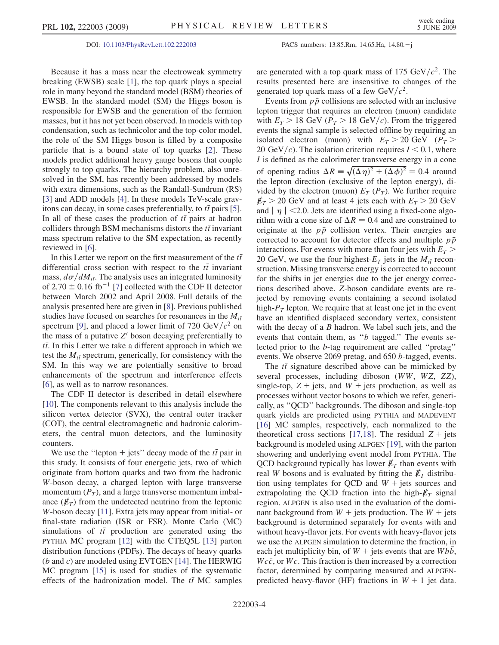## DOI: [10.1103/PhysRevLett.102.222003](http://dx.doi.org/10.1103/PhysRevLett.102.222003) PACS numbers: 13.85.Rm, 14.65.Ha, 14.80.j

Because it has a mass near the electroweak symmetry breaking (EWSB) scale [\[1\]](#page-6-25), the top quark plays a special role in many beyond the standard model (BSM) theories of EWSB. In the standard model (SM) the Higgs boson is responsible for EWSB and the generation of the fermion masses, but it has not yet been observed. In models with top condensation, such as technicolor and the top-color model, the role of the SM Higgs boson is filled by a composite particle that is a bound state of top quarks [[2\]](#page-6-26). These models predict additional heavy gauge bosons that couple strongly to top quarks. The hierarchy problem, also unresolved in the SM, has recently been addressed by models with extra dimensions, such as the Randall-Sundrum (RS) [\[3\]](#page-6-27) and ADD models [\[4](#page-6-17)]. In these models TeV-scale gravitons can decay, in some cases preferentially, to  $t\bar{t}$  pairs [[5\]](#page-6-28). In all of these cases the production of  $t\bar{t}$  pairs at hadron colliders through BSM mechanisms distorts the  $t\bar{t}$  invariant mass spectrum relative to the SM expectation, as recently reviewed in [[6\]](#page-6-29).

In this Letter we report on the first measurement of the  $t\bar{t}$ differential cross section with respect to the  $t\bar{t}$  invariant mass,  $d\sigma/dM_{t\bar{t}}$ . The analysis uses an integrated luminosity of  $2.70 \pm 0.16$  $2.70 \pm 0.16$  $2.70 \pm 0.16$  fb<sup>-1</sup> [7] collected with the CDF II detector between March 2002 and April 2008. Full details of the analysis presented here are given in [\[8\]](#page-6-31). Previous published studies have focused on searches for resonances in the  $M_{t\bar{t}}$ spectrum [\[9](#page-6-32)], and placed a lower limit of 720 GeV/ $c^2$  on the mass of a putative  $Z'$  boson decaying preferentially to  $t\bar{t}$ . In this Letter we take a different approach in which we test the  $M_{t\bar{t}}$  spectrum, generically, for consistency with the SM. In this way we are potentially sensitive to broad enhancements of the spectrum and interference effects [\[6\]](#page-6-29), as well as to narrow resonances.

The CDF II detector is described in detail elsewhere [\[10\]](#page-6-33). The components relevant to this analysis include the silicon vertex detector (SVX), the central outer tracker (COT), the central electromagnetic and hadronic calorimeters, the central muon detectors, and the luminosity counters.

We use the "lepton + jets" decay mode of the  $t\bar{t}$  pair in this study. It consists of four energetic jets, two of which originate from bottom quarks and two from the hadronic W-boson decay, a charged lepton with large transverse momentum  $(P_T)$ , and a large transverse momentum imbalance  $(\not\hspace{-.15cm}E_T)$  from the undetected neutrino from the leptonic W-boson decay [[11](#page-6-34)]. Extra jets may appear from initial- or final-state radiation (ISR or FSR). Monte Carlo (MC) simulations of  $t\bar{t}$  production are generated using the PYTHIA MC program [\[12\]](#page-6-35) with the CTEQ5L [\[13\]](#page-6-36) parton distribution functions (PDFs). The decays of heavy quarks (b and c) are modeled using EVTGEN [\[14\]](#page-7-0). The HERWIG MC program [[15](#page-7-1)] is used for studies of the systematic effects of the hadronization model. The  $t\bar{t}$  MC samples are generated with a top quark mass of 175 GeV/ $c^2$ . The results presented here are insensitive to changes of the generated top quark mass of a few  $GeV/c^2$ .

Events from  $p\bar{p}$  collisions are selected with an inclusive lepton trigger that requires an electron (muon) candidate with  $E_T > 18$  GeV ( $P_T > 18$  GeV/c). From the triggered events the signal sample is selected offline by requiring an isolated electron (muon) with  $E_T > 20$  GeV ( $P_T >$ 20 GeV/c). The isolation criterion requires  $I < 0.1$ , where I is defined as the calorimeter transverse energy in a cone of opening radius  $\Delta R = \sqrt{(\Delta \eta)^2 + (\Delta \phi)^2} = 0.4$  around the lepton direction (exclusive of the lepton energy), divided by the electron (muon)  $E_T(P_T)$ . We further require  $E_T > 20$  GeV and at least 4 jets each with  $E_T > 20$  GeV and  $|\eta|$  < 2.0. Jets are identified using a fixed-cone algorithm with a cone size of  $\Delta R = 0.4$  and are constrained to originate at the  $p\bar{p}$  collision vertex. Their energies are corrected to account for detector effects and multiple  $p\bar{p}$ interactions. For events with more than four jets with  $E_T$  > 20 GeV, we use the four highest- $E_T$  jets in the  $M_{t\bar{t}}$  reconstruction. Missing transverse energy is corrected to account for the shifts in jet energies due to the jet energy corrections described above. Z-boson candidate events are rejected by removing events containing a second isolated high- $P_T$  lepton. We require that at least one jet in the event have an identified displaced secondary vertex, consistent with the decay of a B hadron. We label such jets, and the events that contain them, as ''b tagged.'' The events selected prior to the b-tag requirement are called ''pretag'' events. We observe 2069 pretag, and 650 b-tagged, events.

The  $t\bar{t}$  signature described above can be mimicked by several processes, including diboson (WW, WZ, ZZ), single-top,  $Z + \text{jets}$ , and  $W + \text{jets}$  production, as well as processes without vector bosons to which we refer, generically, as ''QCD'' backgrounds. The diboson and single-top quark yields are predicted using PYTHIA and MADEVENT [\[16\]](#page-7-2) MC samples, respectively, each normalized to the theoretical cross sections [\[17](#page-7-3)[,18\]](#page-7-4). The residual  $Z$  + jets background is modeled using ALPGEN [\[19\]](#page-7-5), with the parton showering and underlying event model from PYTHIA. The QCD background typically has lower  $\not\hspace{-1.2mm}E_{T}$  than events with real W bosons and is evaluated by fitting the  $E_T$  distribution using templates for QCD and  $W +$  jets sources and extrapolating the QCD fraction into the high- $\not\hspace{-.15cm}/_{T}$  signal region. ALPGEN is also used in the evaluation of the dominant background from  $W$  + jets production. The  $W$  + jets background is determined separately for events with and without heavy-flavor jets. For events with heavy-flavor jets we use the ALPGEN simulation to determine the fraction, in each jet multiplicity bin, of  $W +$  jets events that are  $Wb\bar{b}$ ,  $Wc\bar{c}$ , or  $Wc$ . This fraction is then increased by a correction factor, determined by comparing measured and ALPGENpredicted heavy-flavor (HF) fractions in  $W + 1$  jet data.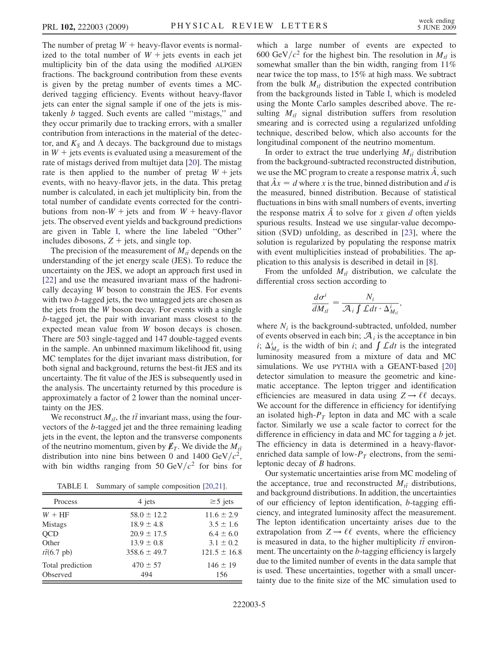The number of pretag  $W$  + heavy-flavor events is normalized to the total number of  $W +$  jets events in each jet multiplicity bin of the data using the modified ALPGEN fractions. The background contribution from these events is given by the pretag number of events times a MCderived tagging efficiency. Events without heavy-flavor jets can enter the signal sample if one of the jets is mistakenly b tagged. Such events are called ''mistags,'' and they occur primarily due to tracking errors, with a smaller contribution from interactions in the material of the detector, and  $K<sub>S</sub>$  and  $\Lambda$  decays. The background due to mistags in  $W$  + jets events is evaluated using a measurement of the rate of mistags derived from multijet data [\[20\]](#page-7-6). The mistag rate is then applied to the number of pretag  $W + \text{jets}$ events, with no heavy-flavor jets, in the data. This pretag number is calculated, in each jet multiplicity bin, from the total number of candidate events corrected for the contributions from non- $W$  + jets and from  $W$  + heavy-flavor jets. The observed event yields and background predictions are given in Table [I](#page-4-0), where the line labeled ''Other'' includes dibosons,  $Z + \text{jets}$ , and single top.

The precision of the measurement of  $M_{t\bar{t}}$  depends on the understanding of the jet energy scale (JES). To reduce the uncertainty on the JES, we adopt an approach first used in [\[22\]](#page-7-7) and use the measured invariant mass of the hadronically decaying W boson to constrain the JES. For events with two b-tagged jets, the two untagged jets are chosen as the jets from the W boson decay. For events with a single b-tagged jet, the pair with invariant mass closest to the expected mean value from W boson decays is chosen. There are 503 single-tagged and 147 double-tagged events in the sample. An unbinned maximum likelihood fit, using MC templates for the dijet invariant mass distribution, for both signal and background, returns the best-fit JES and its uncertainty. The fit value of the JES is subsequently used in the analysis. The uncertainty returned by this procedure is approximately a factor of 2 lower than the nominal uncertainty on the JES.

We reconstruct  $M_{t\bar{t}}$ , the  $t\bar{t}$  invariant mass, using the fourvectors of the b-tagged jet and the three remaining leading jets in the event, the lepton and the transverse components of the neutrino momentum, given by  $\not\!\!E_T$ . We divide the  $M_{t\bar{t}}$ distribution into nine bins between 0 and 1400 GeV/ $c^2$ , with bin widths ranging from 50 GeV/ $c^2$  for bins for

TABLE I. Summary of sample composition [[20](#page-7-6),[21](#page-7-9)].

<span id="page-4-0"></span>

| Process                   | 4 jets           | $\geq$ 5 jets    |  |
|---------------------------|------------------|------------------|--|
| $W + HF$                  | $58.0 \pm 12.2$  | $11.6 \pm 2.9$   |  |
| <b>Mistags</b>            | $18.9 \pm 4.8$   | $3.5 \pm 1.6$    |  |
| <b>OCD</b>                | $20.9 \pm 17.5$  | $6.4 \pm 6.0$    |  |
| Other                     | $13.9 \pm 0.8$   | $3.1 \pm 0.2$    |  |
| $t\bar{t}(6.7~\text{pb})$ | $358.6 \pm 49.7$ | $121.5 \pm 16.8$ |  |
| Total prediction          | $470 \pm 57$     | $146 \pm 19$     |  |
| <b>Observed</b>           | 494              | 156              |  |

which a large number of events are expected to 600 GeV/ $c^2$  for the highest bin. The resolution in  $M_{t\bar{t}}$  is somewhat smaller than the bin width, ranging from 11% near twice the top mass, to 15% at high mass. We subtract from the bulk  $\dot{M}_{t\bar{t}}$  distribution the expected contribution from the backgrounds listed in Table [I,](#page-4-0) which is modeled using the Monte Carlo samples described above. The resulting  $M_{t\bar{t}}$  signal distribution suffers from resolution smearing and is corrected using a regularized unfolding technique, described below, which also accounts for the longitudinal component of the neutrino momentum.

In order to extract the true underlying  $M_{t\bar{t}}$  distribution from the background-subtracted reconstructed distribution, we use the MC program to create a response matrix  $\ddot{A}$ , such that  $\hat{A}x = d$  where x is the true, binned distribution and d is the measured, binned distribution. Because of statistical fluctuations in bins with small numbers of events, inverting the response matrix  $\hat{A}$  to solve for x given d often yields spurious results. Instead we use singular-value decomposition (SVD) unfolding, as described in [\[23\]](#page-7-8), where the solution is regularized by populating the response matrix with event multiplicities instead of probabilities. The application to this analysis is described in detail in [[8\]](#page-6-31).

From the unfolded  $M_{t\bar{t}}$  distribution, we calculate the differential cross section according to

$$
\frac{d\sigma^i}{dM_{t\bar{t}}} = \frac{N_i}{\mathcal{A}_i \int \mathcal{L}dt \cdot \Delta_{M_{t\bar{t}}}^i},
$$

where  $N_i$  is the background-subtracted, unfolded, number of events observed in each bin;  $A_i$  is the acceptance in bin i;  $\Delta_{M_{t}}^{i}$  is the width of bin i; and  $\int \mathcal{L}dt$  is the integrated luminosity measured from a mixture of data and MC simulations. We use PYTHIA with a GEANT-based [\[20\]](#page-7-6) detector simulation to measure the geometric and kinematic acceptance. The lepton trigger and identification efficiencies are measured in data using  $Z \rightarrow \ell \ell$  decays. We account for the difference in efficiency for identifying an isolated high- $P_T$  lepton in data and MC with a scale factor. Similarly we use a scale factor to correct for the difference in efficiency in data and MC for tagging a b jet. The efficiency in data is determined in a heavy-flavorenriched data sample of low- $P<sub>T</sub>$  electrons, from the semileptonic decay of B hadrons.

Our systematic uncertainties arise from MC modeling of the acceptance, true and reconstructed  $M_{t\bar{t}}$  distributions, and background distributions. In addition, the uncertainties of our efficiency of lepton identification, b-tagging efficiency, and integrated luminosity affect the measurement. The lepton identification uncertainty arises due to the extrapolation from  $Z \rightarrow \ell \ell$  events, where the efficiency is measured in data, to the higher multiplicity  $t\bar{t}$  environment. The uncertainty on the b-tagging efficiency is largely due to the limited number of events in the data sample that is used. These uncertainties, together with a small uncertainty due to the finite size of the MC simulation used to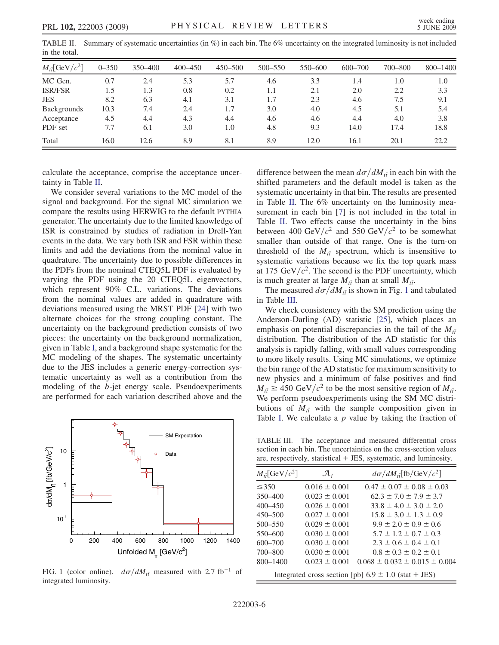<span id="page-5-0"></span>TABLE II. Summary of systematic uncertainties (in %) in each bin. The 6% uncertainty on the integrated luminosity is not included in the total.

| $M_{t\bar{t}}$ [GeV/ $c^2$ ] | $0 - 350$ | 350 - 400 | $400 - 450$ | $450 - 500$ | 500-550 | 550-600 | 600-700 | 700-800 | 800-1400 |
|------------------------------|-----------|-----------|-------------|-------------|---------|---------|---------|---------|----------|
| MC Gen.                      | 0.7       | 2.4       | 5.3         | 5.7         | 4.6     | 3.3     | 1.4     | 1.0     | 1.0      |
| <b>ISR/FSR</b>               | 1.5       | 1.3       | 0.8         | 0.2         | 1.1     | 2.1     | 2.0     | 2.2     | 3.3      |
| <b>JES</b>                   | 8.2       | 6.3       | 4.1         | 3.1         | 1.7     | 2.3     | 4.6     | 7.5     | 9.1      |
| Backgrounds                  | 10.3      | 7.4       | 2.4         | 1.7         | 3.0     | 4.0     | 4.5     | 5.1     | 5.4      |
| Acceptance                   | 4.5       | 4.4       | 4.3         | 4.4         | 4.6     | 4.6     | 4.4     | 4.0     | 3.8      |
| PDF set                      | 7.7       | 6.1       | 3.0         | 1.0         | 4.8     | 9.3     | 14.0    | 17.4    | 18.8     |
| Total                        | 16.0      | 12.6      | 8.9         | 8.1         | 8.9     | 12.0    | 16.1    | 20.1    | 22.2     |

calculate the acceptance, comprise the acceptance uncertainty in Table [II](#page-5-0).

We consider several variations to the MC model of the signal and background. For the signal MC simulation we compare the results using HERWIG to the default PYTHIA generator. The uncertainty due to the limited knowledge of ISR is constrained by studies of radiation in Drell-Yan events in the data. We vary both ISR and FSR within these limits and add the deviations from the nominal value in quadrature. The uncertainty due to possible differences in the PDFs from the nominal CTEQ5L PDF is evaluated by varying the PDF using the 20 CTEQ5L eigenvectors, which represent 90% C.L. variations. The deviations from the nominal values are added in quadrature with deviations measured using the MRST PDF [[24](#page-7-10)] with two alternate choices for the strong coupling constant. The uncertainty on the background prediction consists of two pieces: the uncertainty on the background normalization, given in Table [I](#page-4-0), and a background shape systematic for the MC modeling of the shapes. The systematic uncertainty due to the JES includes a generic energy-correction systematic uncertainty as well as a contribution from the modeling of the b-jet energy scale. Pseudoexperiments are performed for each variation described above and the

<span id="page-5-1"></span>

FIG. 1 (color online).  $d\sigma/dM_{t\bar{t}}$  measured with 2.7 fb<sup>-1</sup> of integrated luminosity.

difference between the mean  $d\sigma/dM_{t\bar{t}}$  in each bin with the shifted parameters and the default model is taken as the systematic uncertainty in that bin. The results are presented in Table [II.](#page-5-0) The 6% uncertainty on the luminosity mea-surement in each bin [[7\]](#page-6-30) is not included in the total in Table [II](#page-5-0). Two effects cause the uncertainty in the bins between 400 GeV/ $c^2$  and 550 GeV/ $c^2$  to be somewhat smaller than outside of that range. One is the turn-on threshold of the  $M_{t\bar{t}}$  spectrum, which is insensitive to systematic variations because we fix the top quark mass at 175 GeV/ $c^2$ . The second is the PDF uncertainty, which is much greater at large  $M_{t\bar{t}}$  than at small  $M_{t\bar{t}}$ .

The measured  $d\sigma/dM_{t\bar{t}}$  is shown in Fig. [1](#page-5-1) and tabulated in Table [III.](#page-5-2)

We check consistency with the SM prediction using the Anderson-Darling (AD) statistic [\[25\]](#page-7-11), which places an emphasis on potential discrepancies in the tail of the  $M_{t\bar{t}}$ distribution. The distribution of the AD statistic for this analysis is rapidly falling, with small values corresponding to more likely results. Using MC simulations, we optimize the bin range of the AD statistic for maximum sensitivity to new physics and a minimum of false positives and find  $M_{t\bar{t}} \ge 450 \text{ GeV}/c^2$  to be the most sensitive region of  $M_{t\bar{t}}$ . We perform pseudoexperiments using the SM MC distributions of  $\dot{M}_{t\bar{t}}$  with the sample composition given in Table [I](#page-4-0). We calculate a  $p$  value by taking the fraction of

<span id="page-5-2"></span>TABLE III. The acceptance and measured differential cross section in each bin. The uncertainties on the cross-section values are, respectively, statistical  $+$  JES, systematic, and luminosity.

| $M_{t\bar{t}}$ [GeV/ $c^2$ ]                             | $\mathcal{A}_i$   | $d\sigma/dM_{t\bar{t}}$ [fb/GeV/ $c^2$ ] |  |  |  |
|----------------------------------------------------------|-------------------|------------------------------------------|--|--|--|
| $\leq 350$                                               | $0.016 \pm 0.001$ | $0.47 \pm 0.07 \pm 0.08 \pm 0.03$        |  |  |  |
| $350 - 400$                                              | $0.023 \pm 0.001$ | $62.3 \pm 7.0 \pm 7.9 \pm 3.7$           |  |  |  |
| $400 - 450$                                              | $0.026 \pm 0.001$ | $33.8 \pm 4.0 \pm 3.0 \pm 2.0$           |  |  |  |
| $450 - 500$                                              | $0.027 + 0.001$   | $15.8 \pm 3.0 \pm 1.3 \pm 0.9$           |  |  |  |
| $500 - 550$                                              | $0.029 \pm 0.001$ | $9.9 \pm 2.0 \pm 0.9 \pm 0.6$            |  |  |  |
| $550 - 600$                                              | $0.030 \pm 0.001$ | $5.7 + 1.2 + 0.7 + 0.3$                  |  |  |  |
| $600 - 700$                                              | $0.030 \pm 0.001$ | $2.3 \pm 0.6 \pm 0.4 \pm 0.1$            |  |  |  |
| 700-800                                                  | $0.030 \pm 0.001$ | $0.8 \pm 0.3 \pm 0.2 \pm 0.1$            |  |  |  |
| $800 - 1400$                                             | $0.023 + 0.001$   | $0.068 \pm 0.032 \pm 0.015 \pm 0.004$    |  |  |  |
| Integrated cross section [pb] $6.9 \pm 1.0$ (stat + JES) |                   |                                          |  |  |  |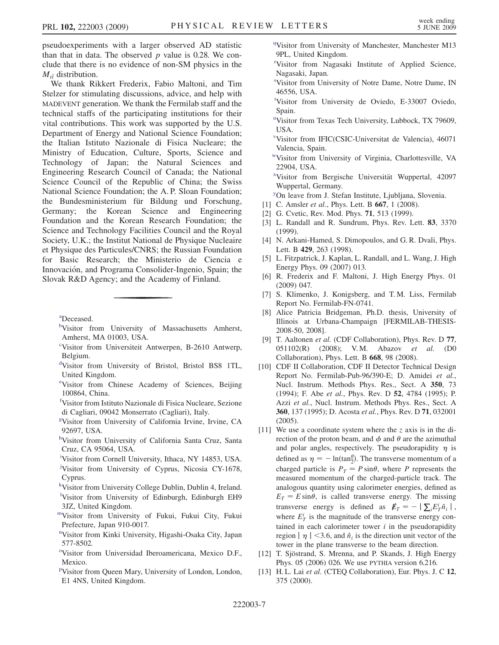pseudoexperiments with a larger observed AD statistic than that in data. The observed  $p$  value is 0.28. We conclude that there is no evidence of non-SM physics in the  $M_{t\bar{t}}$  distribution.

We thank Rikkert Frederix, Fabio Maltoni, and Tim Stelzer for stimulating discussions, advice, and help with MADEVENT generation. We thank the Fermilab staff and the technical staffs of the participating institutions for their vital contributions. This work was supported by the U.S. Department of Energy and National Science Foundation; the Italian Istituto Nazionale di Fisica Nucleare; the Ministry of Education, Culture, Sports, Science and Technology of Japan; the Natural Sciences and Engineering Research Council of Canada; the National Science Council of the Republic of China; the Swiss National Science Foundation; the A. P. Sloan Foundation; the Bundesministerium für Bildung und Forschung, Germany; the Korean Science and Engineering Foundation and the Korean Research Foundation; the Science and Technology Facilities Council and the Royal Society, U.K.; the Institut National de Physique Nucleaire et Physique des Particules/CNRS; the Russian Foundation for Basic Research; the Ministerio de Ciencia e Innovación, and Programa Consolider-Ingenio, Spain; the Slovak R&D Agency; and the Academy of Finland.

<span id="page-6-15"></span><span id="page-6-2"></span>[a](#page-1-0) Deceased.

- [b](#page-0-0)Visitor from University of Massachusetts Amherst, Amherst, MA 01003, USA.
- <span id="page-6-21"></span>[c](#page-1-1) Visitor from Universiteit Antwerpen, B-2610 Antwerp, Belgium.
- <span id="page-6-6"></span>[d](#page-0-1) Visitor from University of Bristol, Bristol BS8 1TL, United Kingdom.
- e Visitor from Chinese Academy of Sciences, Beijing 100864, China.
- <span id="page-6-10"></span>[f](#page-0-2) Visitor from Istituto Nazionale di Fisica Nucleare, Sezione di Cagliari, 09042 Monserrato (Cagliari), Italy.
- <span id="page-6-19"></span>[g](#page-1-2) Visitor from University of California Irvine, Irvine, CA 92697, USA.
- <span id="page-6-14"></span>[h](#page-1-3) Visitor from University of California Santa Cruz, Santa Cruz, CA 95064, USA.
- <span id="page-6-20"></span><span id="page-6-16"></span><sup>[i](#page-1-4)</sup>Visitor from Cornell University, Ithaca, NY 14853, USA.
- [j](#page-1-5) Visitor from University of Cyprus, Nicosia CY-1678, Cyprus.
- <span id="page-6-12"></span><span id="page-6-11"></span>[k](#page-0-3) Visitor from University College Dublin, Dublin 4, Ireland.
- <sup>1</sup>Visitor from University of Edinburgh, Edinburgh EH9 3JZ, United Kingdom.
- <span id="page-6-7"></span>[mV](#page-0-4)isitor from University of Fukui, Fukui City, Fukui Prefecture, Japan 910-0017.
- <span id="page-6-24"></span>[n](#page-1-6) Visitor from Kinki University, Higashi-Osaka City, Japan 577-8502.
- <span id="page-6-4"></span><sup>[o](#page-0-5)</sup>Visitor from Universidad Iberoamericana, Mexico D.F., Mexico.
- <span id="page-6-5"></span><su[p](#page-0-6)>p</sup>Visitor from Queen Mary, University of London, London, E1 4NS, United Kingdom.

<span id="page-6-23"></span><sup>[q](#page-1-7)</sup>Visitor from University of Manchester, Manchester M13 9PL, United Kingdom.

- <span id="page-6-18"></span>[r](#page-1-8) Visitor from Nagasaki Institute of Applied Science, Nagasaki, Japan.
- <span id="page-6-8"></span>[s](#page-0-7) Visitor from University of Notre Dame, Notre Dame, IN 46556, USA.
- <span id="page-6-0"></span>[t](#page-0-8) Visitor from University de Oviedo, E-33007 Oviedo, Spain.
- <span id="page-6-9"></span><s[u](#page-0-9)p>u</sup>Visitor from Texas Tech University, Lubbock, TX 79609, USA.
- <span id="page-6-3"></span>[v](#page-0-8) Visitor from IFIC(CSIC-Universitat de Valencia), 46071 Valencia, Spain.
- <span id="page-6-13"></span>[wV](#page-1-9)isitor from University of Virginia, Charlottesville, VA 22904, USA.

<span id="page-6-22"></span><sup>[x](#page-1-10)</sup>Visitor from Bergische Universität Wuppertal, 42097 Wuppertal, Germany.

- <span id="page-6-1"></span>[y](#page-0-10) On leave from J. Stefan Institute, Ljubljana, Slovenia.
- <span id="page-6-25"></span>[1] C. Amsler et al., Phys. Lett. B 667, 1 (2008).
- <span id="page-6-26"></span>[2] G. Cvetic, Rev. Mod. Phys. 71, 513 (1999).
- <span id="page-6-27"></span>[3] L. Randall and R. Sundrum, Phys. Rev. Lett. 83, 3370 (1999).
- <span id="page-6-17"></span>[4] N. Arkani-Hamed, S. Dimopoulos, and G. R. Dvali, Phys. Lett. B 429, 263 (1998).
- <span id="page-6-28"></span>[5] L. Fitzpatrick, J. Kaplan, L. Randall, and L. Wang, J. High Energy Phys. 09 (2007) 013.
- <span id="page-6-29"></span>[6] R. Frederix and F. Maltoni, J. High Energy Phys. 01 (2009) 047.
- <span id="page-6-30"></span>[7] S. Klimenko, J. Konigsberg, and T. M. Liss, Fermilab Report No. Fermilab-FN-0741.
- <span id="page-6-31"></span>[8] Alice Patricia Bridgeman, Ph.D. thesis, University of Illinois at Urbana-Champaign [FERMILAB-THESIS-2008-50, 2008].
- <span id="page-6-32"></span>[9] T. Aaltonen et al. (CDF Collaboration), Phys. Rev. D 77, 051102(R) (2008); V.M. Abazov et al. (D0 Collaboration), Phys. Lett. B 668, 98 (2008).
- <span id="page-6-33"></span>[10] CDF II Collaboration, CDF II Detector Technical Design Report No. Fermilab-Pub-96/390-E; D. Amidei et al., Nucl. Instrum. Methods Phys. Res., Sect. A 350, 73 (1994); F. Abe et al., Phys. Rev. D 52, 4784 (1995); P. Azzi et al., Nucl. Instrum. Methods Phys. Res., Sect. A 360, 137 (1995); D. Acosta et al., Phys. Rev. D 71, 032001 (2005).
- <span id="page-6-34"></span>[11] We use a coordinate system where the z axis is in the direction of the proton beam, and  $\phi$  and  $\theta$  are the azimuthal and polar angles, respectively. The pseudorapidity  $\eta$  is defined as  $\eta = -\ln(\tan^{\theta}_{2})$ . The transverse momentum of a charged particle is  $P_T = P \sin \theta$ , where P represents the measured momentum of the charged-particle track. The analogous quantity using calorimeter energies, defined as  $E_T = E \sin \theta$ , is called transverse energy. The missing transverse energy is defined as  $\mathbf{E}_T = - | \sum_i E_T^i \hat{n}_i |$ , where  $E_T^i$  is the magnitude of the transverse energy contained in each calorimeter tower  $i$  in the pseudorapidity region  $|\eta| < 3.6$ , and  $\hat{n}_i$  is the direction unit vector of the tower in the plane transverse to the beam direction.
- <span id="page-6-35"></span>[12] T. Sjöstrand, S. Mrenna, and P. Skands, J. High Energy Phys. 05 (2006) 026. We use PYTHIA version 6.216.
- <span id="page-6-36"></span>[13] H. L. Lai et al. (CTEQ Collaboration), Eur. Phys. J. C 12, 375 (2000).